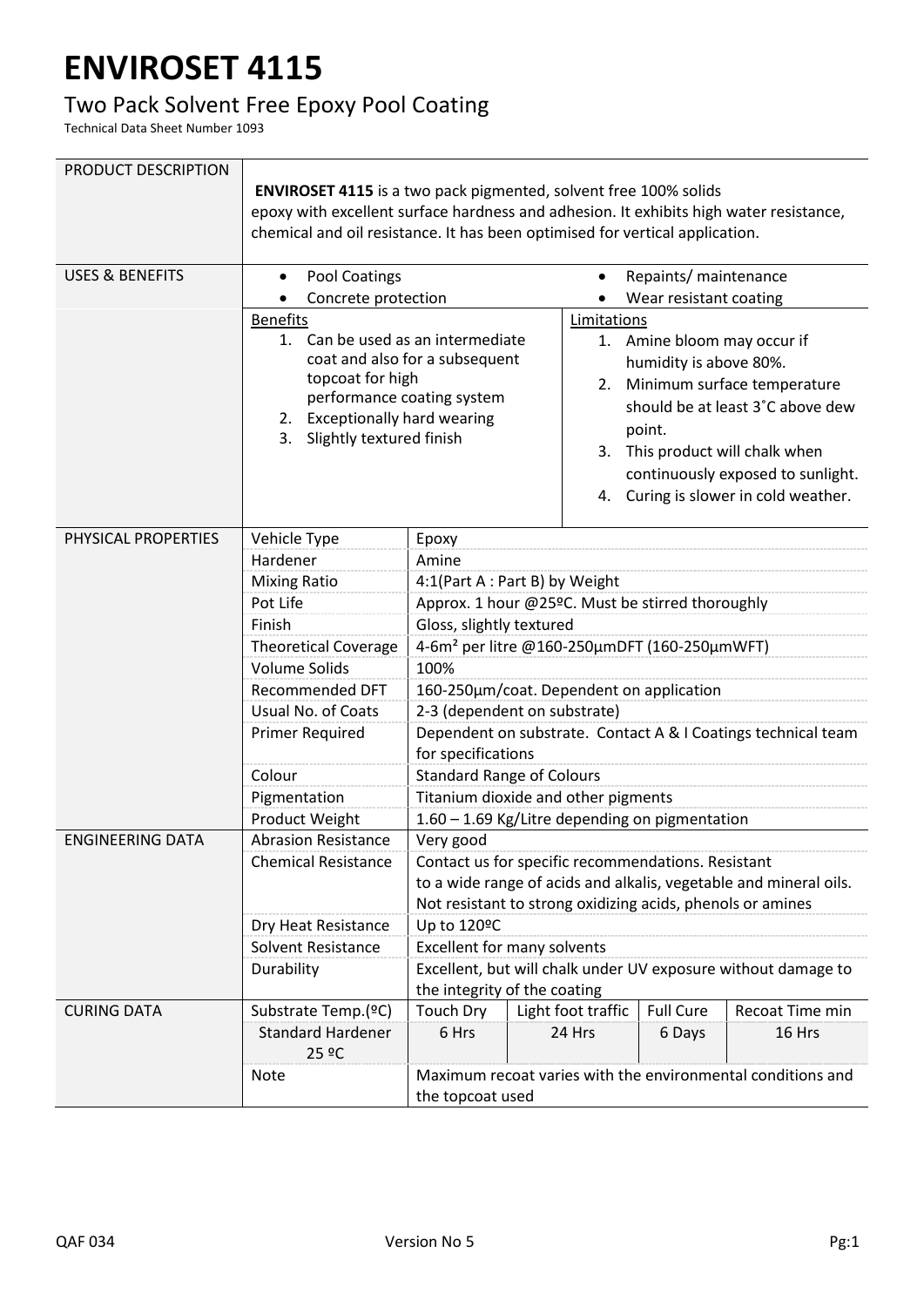## **ENVIROSET 4115**

## Two Pack Solvent Free Epoxy Pool Coating

Technical Data Sheet Number 1093

| PRODUCT DESCRIPTION        | <b>ENVIROSET 4115</b> is a two pack pigmented, solvent free 100% solids<br>epoxy with excellent surface hardness and adhesion. It exhibits high water resistance,<br>chemical and oil resistance. It has been optimised for vertical application. |                                                                                               |                                                               |                                                                                                                                                                                |                                   |  |
|----------------------------|---------------------------------------------------------------------------------------------------------------------------------------------------------------------------------------------------------------------------------------------------|-----------------------------------------------------------------------------------------------|---------------------------------------------------------------|--------------------------------------------------------------------------------------------------------------------------------------------------------------------------------|-----------------------------------|--|
| <b>USES &amp; BENEFITS</b> | Pool Coatings<br>$\bullet$                                                                                                                                                                                                                        |                                                                                               | Repaints/ maintenance                                         |                                                                                                                                                                                |                                   |  |
|                            | Concrete protection                                                                                                                                                                                                                               |                                                                                               |                                                               | Wear resistant coating                                                                                                                                                         |                                   |  |
|                            | <b>Benefits</b>                                                                                                                                                                                                                                   |                                                                                               |                                                               | Limitations                                                                                                                                                                    |                                   |  |
|                            | 1. Can be used as an intermediate<br>coat and also for a subsequent<br>topcoat for high<br>performance coating system<br>2. Exceptionally hard wearing<br>3. Slightly textured finish                                                             |                                                                                               |                                                               | 1. Amine bloom may occur if                                                                                                                                                    |                                   |  |
|                            |                                                                                                                                                                                                                                                   |                                                                                               |                                                               | humidity is above 80%.<br>2. Minimum surface temperature<br>should be at least 3°C above dew<br>point.<br>3. This product will chalk when<br>continuously exposed to sunlight. |                                   |  |
|                            |                                                                                                                                                                                                                                                   |                                                                                               |                                                               |                                                                                                                                                                                |                                   |  |
|                            |                                                                                                                                                                                                                                                   |                                                                                               |                                                               |                                                                                                                                                                                |                                   |  |
|                            |                                                                                                                                                                                                                                                   |                                                                                               |                                                               |                                                                                                                                                                                |                                   |  |
|                            |                                                                                                                                                                                                                                                   |                                                                                               |                                                               |                                                                                                                                                                                |                                   |  |
|                            |                                                                                                                                                                                                                                                   |                                                                                               |                                                               |                                                                                                                                                                                |                                   |  |
|                            |                                                                                                                                                                                                                                                   |                                                                                               | 4.                                                            |                                                                                                                                                                                | Curing is slower in cold weather. |  |
|                            |                                                                                                                                                                                                                                                   |                                                                                               |                                                               |                                                                                                                                                                                |                                   |  |
| PHYSICAL PROPERTIES        | Vehicle Type                                                                                                                                                                                                                                      | Epoxy                                                                                         |                                                               |                                                                                                                                                                                |                                   |  |
|                            | Hardener                                                                                                                                                                                                                                          | Amine                                                                                         |                                                               |                                                                                                                                                                                |                                   |  |
|                            | <b>Mixing Ratio</b><br>4:1(Part A : Part B) by Weight                                                                                                                                                                                             |                                                                                               |                                                               |                                                                                                                                                                                |                                   |  |
|                            | Pot Life                                                                                                                                                                                                                                          | Approx. 1 hour @25ºC. Must be stirred thoroughly                                              |                                                               |                                                                                                                                                                                |                                   |  |
|                            | Finish                                                                                                                                                                                                                                            | Gloss, slightly textured                                                                      |                                                               |                                                                                                                                                                                |                                   |  |
|                            | <b>Theoretical Coverage</b><br><b>Volume Solids</b>                                                                                                                                                                                               | 4-6m <sup>2</sup> per litre @160-250μmDFT (160-250μmWFT)                                      |                                                               |                                                                                                                                                                                |                                   |  |
|                            | <b>Recommended DFT</b>                                                                                                                                                                                                                            | 100%<br>160-250µm/coat. Dependent on application                                              |                                                               |                                                                                                                                                                                |                                   |  |
|                            | Usual No. of Coats                                                                                                                                                                                                                                | 2-3 (dependent on substrate)                                                                  |                                                               |                                                                                                                                                                                |                                   |  |
|                            | <b>Primer Required</b>                                                                                                                                                                                                                            |                                                                                               | Dependent on substrate. Contact A & I Coatings technical team |                                                                                                                                                                                |                                   |  |
|                            |                                                                                                                                                                                                                                                   | for specifications                                                                            |                                                               |                                                                                                                                                                                |                                   |  |
|                            | Colour                                                                                                                                                                                                                                            | <b>Standard Range of Colours</b>                                                              |                                                               |                                                                                                                                                                                |                                   |  |
|                            | Pigmentation                                                                                                                                                                                                                                      | Titanium dioxide and other pigments                                                           |                                                               |                                                                                                                                                                                |                                   |  |
|                            | Product Weight                                                                                                                                                                                                                                    | 1.60 - 1.69 Kg/Litre depending on pigmentation                                                |                                                               |                                                                                                                                                                                |                                   |  |
| <b>ENGINEERING DATA</b>    | <b>Abrasion Resistance</b>                                                                                                                                                                                                                        | Very good                                                                                     |                                                               |                                                                                                                                                                                |                                   |  |
|                            | <b>Chemical Resistance</b>                                                                                                                                                                                                                        | Contact us for specific recommendations. Resistant                                            |                                                               |                                                                                                                                                                                |                                   |  |
|                            |                                                                                                                                                                                                                                                   | to a wide range of acids and alkalis, vegetable and mineral oils.                             |                                                               |                                                                                                                                                                                |                                   |  |
|                            |                                                                                                                                                                                                                                                   | Not resistant to strong oxidizing acids, phenols or amines                                    |                                                               |                                                                                                                                                                                |                                   |  |
|                            | Dry Heat Resistance                                                                                                                                                                                                                               | Up to 120ºC                                                                                   |                                                               |                                                                                                                                                                                |                                   |  |
|                            | Solvent Resistance                                                                                                                                                                                                                                | <b>Excellent for many solvents</b>                                                            |                                                               |                                                                                                                                                                                |                                   |  |
|                            | Durability                                                                                                                                                                                                                                        | Excellent, but will chalk under UV exposure without damage to<br>the integrity of the coating |                                                               |                                                                                                                                                                                |                                   |  |
| <b>CURING DATA</b>         | Substrate Temp.(ºC)                                                                                                                                                                                                                               | <b>Touch Dry</b>                                                                              | Light foot traffic                                            | <b>Full Cure</b>                                                                                                                                                               | Recoat Time min                   |  |
|                            | <b>Standard Hardener</b><br>25 ºC                                                                                                                                                                                                                 | 6 Hrs                                                                                         | 24 Hrs                                                        | 6 Days                                                                                                                                                                         | 16 Hrs                            |  |
|                            | <b>Note</b>                                                                                                                                                                                                                                       | Maximum recoat varies with the environmental conditions and<br>the topcoat used               |                                                               |                                                                                                                                                                                |                                   |  |